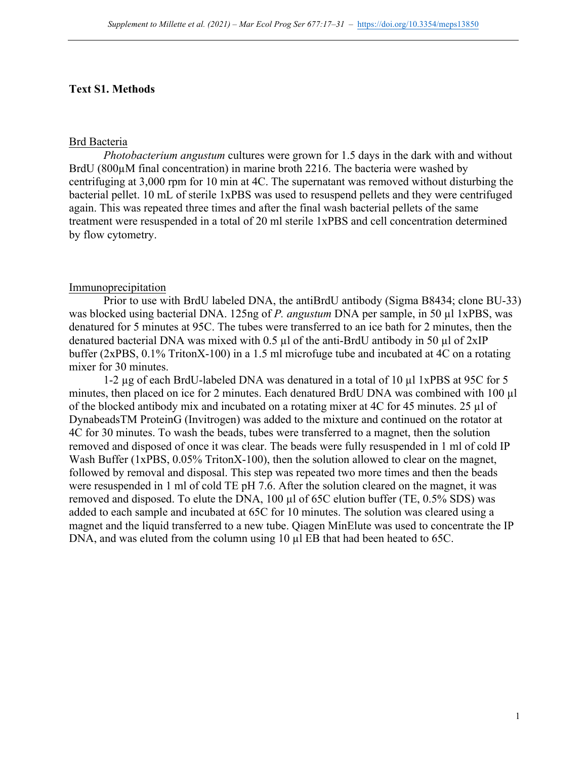### **Text S1. Methods**

#### Brd Bacteria

*Photobacterium angustum* cultures were grown for 1.5 days in the dark with and without BrdU (800µM final concentration) in marine broth 2216. The bacteria were washed by centrifuging at 3,000 rpm for 10 min at 4C. The supernatant was removed without disturbing the bacterial pellet. 10 mL of sterile 1xPBS was used to resuspend pellets and they were centrifuged again. This was repeated three times and after the final wash bacterial pellets of the same treatment were resuspended in a total of 20 ml sterile 1xPBS and cell concentration determined by flow cytometry.

#### Immunoprecipitation

Prior to use with BrdU labeled DNA, the antiBrdU antibody (Sigma B8434; clone BU-33) was blocked using bacterial DNA. 125ng of *P. angustum* DNA per sample, in 50 µl 1xPBS, was denatured for 5 minutes at 95C. The tubes were transferred to an ice bath for 2 minutes, then the denatured bacterial DNA was mixed with 0.5 µl of the anti-BrdU antibody in 50 µl of 2xIP buffer (2xPBS, 0.1% TritonX-100) in a 1.5 ml microfuge tube and incubated at 4C on a rotating mixer for 30 minutes.

1-2 µg of each BrdU-labeled DNA was denatured in a total of 10 µl 1xPBS at 95C for 5 minutes, then placed on ice for 2 minutes. Each denatured BrdU DNA was combined with 100 µl of the blocked antibody mix and incubated on a rotating mixer at 4C for 45 minutes. 25 µl of DynabeadsTM ProteinG (Invitrogen) was added to the mixture and continued on the rotator at 4C for 30 minutes. To wash the beads, tubes were transferred to a magnet, then the solution removed and disposed of once it was clear. The beads were fully resuspended in 1 ml of cold IP Wash Buffer (1xPBS, 0.05% TritonX-100), then the solution allowed to clear on the magnet, followed by removal and disposal. This step was repeated two more times and then the beads were resuspended in 1 ml of cold TE pH 7.6. After the solution cleared on the magnet, it was removed and disposed. To elute the DNA, 100 µl of 65C elution buffer (TE, 0.5% SDS) was added to each sample and incubated at 65C for 10 minutes. The solution was cleared using a magnet and the liquid transferred to a new tube. Qiagen MinElute was used to concentrate the IP DNA, and was eluted from the column using 10  $\mu$ l EB that had been heated to 65C.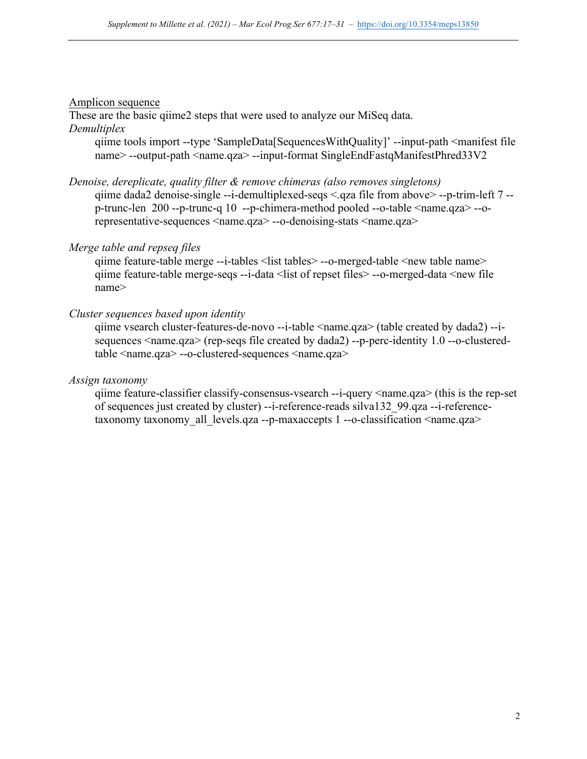# Amplicon sequence

These are the basic qiime2 steps that were used to analyze our MiSeq data. *Demultiplex*

qiime tools import --type 'SampleData[SequencesWithQuality]' --input-path <manifest file name> --output-path <name.qza> --input-format SingleEndFastqManifestPhred33V2

### *Denoise, dereplicate, quality filter & remove chimeras (also removes singletons)*

qiime dada2 denoise-single --i-demultiplexed-seqs <.qza file from above> --p-trim-left 7 - p-trunc-len 200 --p-trunc-q 10 --p-chimera-method pooled --o-table <name.qza> --orepresentative-sequences <name.qza> --o-denoising-stats <name.qza>

# *Merge table and repseq files*

qiime feature-table merge --i-tables <list tables> --o-merged-table <new table name> qiime feature-table merge-seqs --i-data <list of repset files> --o-merged-data <new file name>

# *Cluster sequences based upon identity*

qiime vsearch cluster-features-de-novo --i-table <name.qza> (table created by dada2) --isequences <name.qza> (rep-seqs file created by dada2) --p-perc-identity 1.0 --o-clusteredtable <name.qza> --o-clustered-sequences <name.qza>

# *Assign taxonomy*

qiime feature-classifier classify-consensus-vsearch --i-query <name.qza> (this is the rep-set of sequences just created by cluster) --i-reference-reads silva132\_99.qza --i-referencetaxonomy taxonomy all levels.qza --p-maxaccepts 1 --o-classification <name.qza>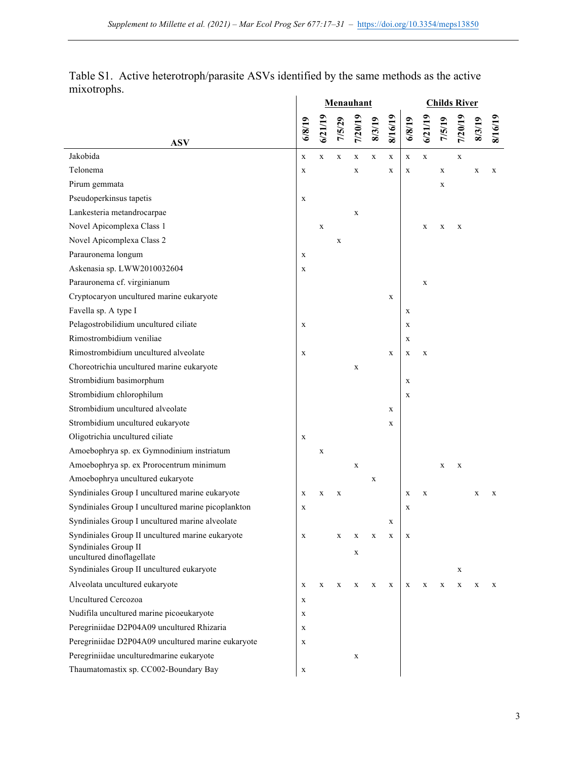|                                                    |             | Menauhant   |             |             |             |             |             |             | <b>Childs River</b> |             |       |         |  |  |  |  |
|----------------------------------------------------|-------------|-------------|-------------|-------------|-------------|-------------|-------------|-------------|---------------------|-------------|-------|---------|--|--|--|--|
| <b>ASV</b>                                         | 6/8/19      | 6/21/19     | 7/5/29      | 7/20/19     | 8/3/19      | 8/16/19     | 6/8/19      | 6/21/19     | 7/5/19              | 7/20/19     | 8/3/1 | 8/16/19 |  |  |  |  |
| Jakobida                                           | $\mathbf X$ | $\mathbf X$ | $\mathbf X$ | $\mathbf X$ | $\mathbf X$ | $\mathbf X$ | $\mathbf X$ | $\mathbf X$ |                     | $\mathbf X$ |       |         |  |  |  |  |
| Telonema                                           | $\mathbf X$ |             |             | $\mathbf X$ |             | X           | X           |             | X                   |             | X     | X       |  |  |  |  |
| Pirum gemmata                                      |             |             |             |             |             |             |             |             | X                   |             |       |         |  |  |  |  |
| Pseudoperkinsus tapetis                            | $\mathbf X$ |             |             |             |             |             |             |             |                     |             |       |         |  |  |  |  |
| Lankesteria metandrocarpae                         |             |             |             | $\mathbf X$ |             |             |             |             |                     |             |       |         |  |  |  |  |
| Novel Apicomplexa Class 1                          |             | $\mathbf X$ |             |             |             |             |             | $\mathbf X$ | X                   | $\mathbf X$ |       |         |  |  |  |  |
| Novel Apicomplexa Class 2                          |             |             | $\mathbf X$ |             |             |             |             |             |                     |             |       |         |  |  |  |  |
| Parauronema longum                                 | $\mathbf X$ |             |             |             |             |             |             |             |                     |             |       |         |  |  |  |  |
| Askenasia sp. LWW2010032604                        | X           |             |             |             |             |             |             |             |                     |             |       |         |  |  |  |  |
| Parauronema cf. virginianum                        |             |             |             |             |             |             |             | X           |                     |             |       |         |  |  |  |  |
| Cryptocaryon uncultured marine eukaryote           |             |             |             |             |             | X           |             |             |                     |             |       |         |  |  |  |  |
| Favella sp. A type I                               |             |             |             |             |             |             | X           |             |                     |             |       |         |  |  |  |  |
| Pelagostrobilidium uncultured ciliate              | $\mathbf X$ |             |             |             |             |             | X           |             |                     |             |       |         |  |  |  |  |
| Rimostrombidium veniliae                           |             |             |             |             |             |             | $\mathbf X$ |             |                     |             |       |         |  |  |  |  |
| Rimostrombidium uncultured alveolate               | X           |             |             |             |             | X           | $\mathbf X$ | $\mathbf X$ |                     |             |       |         |  |  |  |  |
| Choreotrichia uncultured marine eukaryote          |             |             |             | $\mathbf X$ |             |             |             |             |                     |             |       |         |  |  |  |  |
| Strombidium basimorphum                            |             |             |             |             |             |             | X           |             |                     |             |       |         |  |  |  |  |
| Strombidium chlorophilum                           |             |             |             |             |             |             | $\mathbf X$ |             |                     |             |       |         |  |  |  |  |
| Strombidium uncultured alveolate                   |             |             |             |             |             | X           |             |             |                     |             |       |         |  |  |  |  |
| Strombidium uncultured eukaryote                   |             |             |             |             |             | X           |             |             |                     |             |       |         |  |  |  |  |
| Oligotrichia uncultured ciliate                    | $\mathbf X$ |             |             |             |             |             |             |             |                     |             |       |         |  |  |  |  |
| Amoebophrya sp. ex Gymnodinium instriatum          |             | $\mathbf X$ |             |             |             |             |             |             |                     |             |       |         |  |  |  |  |
| Amoebophrya sp. ex Prorocentrum minimum            |             |             |             |             |             |             |             |             | $\mathbf X$         |             |       |         |  |  |  |  |
| Amoebophrya uncultured eukaryote                   |             |             |             | $\mathbf X$ | $\mathbf X$ |             |             |             |                     | $\mathbf X$ |       |         |  |  |  |  |
| Syndiniales Group I uncultured marine eukaryote    |             |             |             |             |             |             | X           | X           |                     |             |       |         |  |  |  |  |
| Syndiniales Group I uncultured marine picoplankton | X           | X           | X           |             |             |             |             |             |                     |             | X     | X       |  |  |  |  |
| Syndiniales Group I uncultured marine alveolate    | X           |             |             |             |             |             | X           |             |                     |             |       |         |  |  |  |  |
| Syndiniales Group II uncultured marine eukaryote   |             |             |             |             |             | X           |             |             |                     |             |       |         |  |  |  |  |
| Syndiniales Group II                               | X           |             | X           | X           | X           | $\mathbf X$ | X           |             |                     |             |       |         |  |  |  |  |
| uncultured dinoflagellate                          |             |             |             | X           |             |             |             |             |                     |             |       |         |  |  |  |  |
| Syndiniales Group II uncultured eukaryote          |             |             |             |             |             |             |             |             |                     | X           |       |         |  |  |  |  |
| Alveolata uncultured eukaryote                     | $\mathbf X$ | X           | X           | X           | X           | X           | $\mathbf X$ | X           | X                   | X           | X     | X       |  |  |  |  |
| <b>Uncultured Cercozoa</b>                         | X           |             |             |             |             |             |             |             |                     |             |       |         |  |  |  |  |
| Nudifila uncultured marine picoeukaryote           | X           |             |             |             |             |             |             |             |                     |             |       |         |  |  |  |  |
| Peregriniidae D2P04A09 uncultured Rhizaria         | X           |             |             |             |             |             |             |             |                     |             |       |         |  |  |  |  |
| Peregriniidae D2P04A09 uncultured marine eukaryote | X           |             |             |             |             |             |             |             |                     |             |       |         |  |  |  |  |
| Peregriniidae unculturedmarine eukaryote           |             |             |             | $\mathbf X$ |             |             |             |             |                     |             |       |         |  |  |  |  |
| Thaumatomastix sp. CC002-Boundary Bay              | X           |             |             |             |             |             |             |             |                     |             |       |         |  |  |  |  |

Table S1. Active heterotroph/parasite ASVs identified by the same methods as the active mixotrophs.